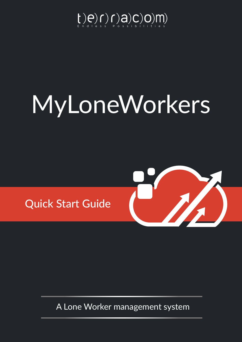

# MyLoneWorkers





A Lone Worker management system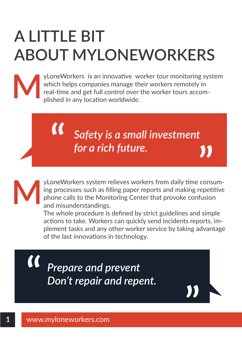# **A LITTLE BIT ABOUT MYLONEWORKERS**



yLoneWorkers is an innovative worker tour monitoring system which helps companies manage their workers remotely in real-time and get full control over the worker tours accomplished in any location worldwide.

> *Safety is a small investment for a rich future.*

yLoneWorkers system relieves workers from daily time consuming processes such as filling paper reports and making repetitive phone calls to the Monitoring Center that provoke confusion and misunderstandings. **M**

The whole procedure is defined by strict guidelines and simple actions to take. Workers can quickly send incidents reports, implement tasks and any other worker service by taking advantage of the last innovations in technology.

 $\alpha$ *Prepare and prevent Don't repair and repent.*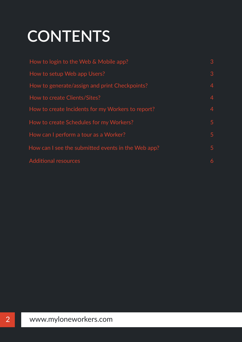# **CONTENTS**

| How to login to the Web & Mobile app?              | 3 |
|----------------------------------------------------|---|
| How to setup Web app Users?                        | 3 |
| How to generate/assign and print Checkpoints?      | 4 |
| How to create Clients/Sites?                       | 4 |
| How to create Incidents for my Workers to report?  | 4 |
| How to create Schedules for my Workers?            | 5 |
| How can I perform a tour as a Worker?              | 5 |
| How can I see the submitted events in the Web app? | 5 |
| <b>Additional resources</b>                        | 6 |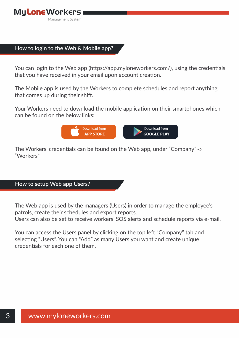# **How to login to the Web & Mobile app?**

You can login to the Web app ([https://app.myloneworkers.com/\)](https://app.myloneworkers.com/), using the credentials that you have received in your email upon account creation.

The Mobile app is used by the Workers to complete schedules and report anything that comes up during their shift.

Your Workers need to download the mobile application on their smartphones which can be found on the below links:



The Workers' credentials can be found on the Web app, under "Company" -> "Workers"

# **How to setup Web app Users?**

The Web app is used by the managers (Users) in order to manage the employee's patrols, create their schedules and export reports.

Users can also be set to receive workers' SOS alerts and schedule reports via e-mail.

You can access the Users panel by clicking on the top left "Company" tab and selecting "Users". You can "Add" as many Users you want and create unique credentials for each one of them.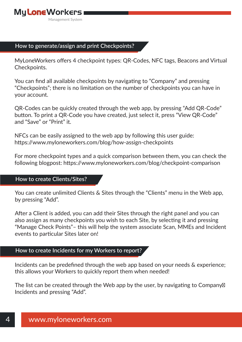# **How to generate/assign and print Checkpoints?**

MyLoneWorkers offers 4 checkpoint types: QR-Codes, NFC tags, Beacons and Virtual Checkpoints.

You can find all available checkpoints by navigating to "Company" and pressing "Checkpoints"; there is no limitation on the number of checkpoints you can have in your account.

QR-Codes can be quickly created through the web app, by pressing "Add QR-Code" button. To print a QR-Code you have created, just select it, press "View QR-Code" and "Save" or "Print" it.

NFCs can be easily assigned to the web app by following this user guide: [https://www.myloneworkers.com/blog/how-assign-checkpoints](https://www.myloneworkers.com/blog/checkpoint-comparison)

For more checkpoint types and a quick comparison between them, you can check the following blogpost:<https://www.myloneworkers.com/blog/checkpoint-comparison>

### **How to create Clients/Sites?**

You can create unlimited Clients & Sites through the "Clients" menu in the Web app, by pressing "Add".

After a Client is added, you can add their Sites through the right panel and you can also assign as many checkpoints you wish to each Site, by selecting it and pressing "Manage Check Points"– this will help the system associate Scan, MMEs and Incident events to particular Sites later on!

# **How to create Incidents for my Workers to report?**

Incidents can be predefined through the web app based on your needs & experience; this allows your Workers to quickly report them when needed!

The list can be created through the Web app by the user, by navigating to Company Incidents and pressing "Add".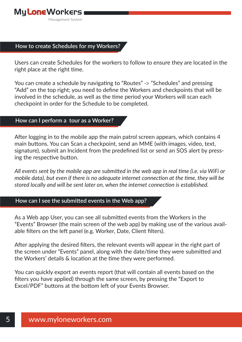## **How to create Schedules for my Workers?**

Users can create Schedules for the workers to follow to ensure they are located in the right place at the right time.

You can create a schedule by navigating to "Routes" -> "Schedules" and pressing "Add" on the top right; you need to define the Workers and checkpoints that will be involved in the schedule, as well as the time period your Workers will scan each checkpoint in order for the Schedule to be completed.

### **How can I perform a tour as a Worker?**

After logging in to the mobile app the main patrol screen appears, which contains 4 main buttons. You can Scan a checkpoint, send an MME (with images, video, text, signature), submit an Incident from the predefined list or send an SOS alert by pressing the respective button.

*All events sent by the mobile app are submitted in the web app in real time (i.e. via WiFi or mobile data), but even if there is no adequate internet connection at the time, they will be stored locally and will be sent later on, when the internet connection is established.*

#### **How can I see the submitted events in the Web app?**

As a Web app User, you can see all submitted events from the Workers in the "Events" Browser (the main screen of the web app) by making use of the various available filters on the left panel (e.g. Worker, Date, Client filters).

After applying the desired filters, the relevant events will appear in the right part of the screen under "Events" panel, along with the date/time they were submitted and the Workers' details & location at the time they were performed.

You can quickly export an events report (that will contain all events based on the filters you have applied) through the same screen, by pressing the "Export to Excel/PDF" buttons at the bottom left of your Events Browser.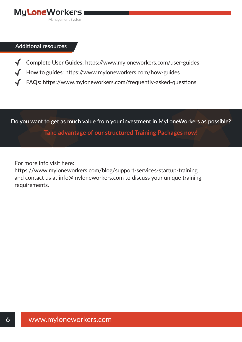

#### **Additional resources**

- **Complete User Guides**: <https://www.myloneworkers.com/user-guides>
	- **How to guides**:<https://www.myloneworkers.com/how-guides>
	- **FAQs**: <https://www.myloneworkers.com/frequently-asked-questions>

**Do you want to get as much value from your investment in MyLoneWorkers as possible?**

**[Take advantage of our structured Training Packages now!](https://www.myloneworkers.com/support-packages)**

For more info visit here:

<https://www.myloneworkers.com/blog/support-services-startup-training> and contact us at info@myloneworkers.com to discuss your unique training requirements.